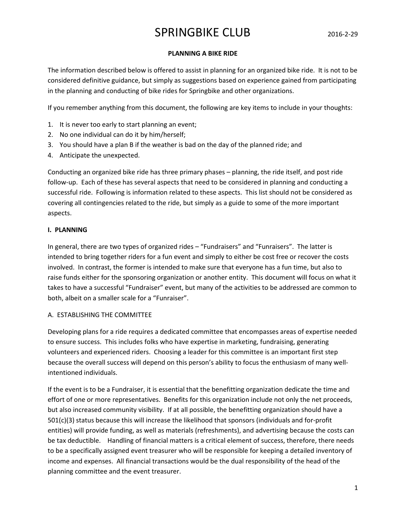### PLANNING A BIKE RIDE

The information described below is offered to assist in planning for an organized bike ride. It is not to be considered definitive guidance, but simply as suggestions based on experience gained from participating in the planning and conducting of bike rides for Springbike and other organizations.

If you remember anything from this document, the following are key items to include in your thoughts:

- 1. It is never too early to start planning an event;
- 2. No one individual can do it by him/herself;
- 3. You should have a plan B if the weather is bad on the day of the planned ride; and
- 4. Anticipate the unexpected.

Conducting an organized bike ride has three primary phases – planning, the ride itself, and post ride follow-up. Each of these has several aspects that need to be considered in planning and conducting a successful ride. Following is information related to these aspects. This list should not be considered as covering all contingencies related to the ride, but simply as a guide to some of the more important aspects.

### I. PLANNING

In general, there are two types of organized rides – "Fundraisers" and "Funraisers". The latter is intended to bring together riders for a fun event and simply to either be cost free or recover the costs involved. In contrast, the former is intended to make sure that everyone has a fun time, but also to raise funds either for the sponsoring organization or another entity. This document will focus on what it takes to have a successful "Fundraiser" event, but many of the activities to be addressed are common to both, albeit on a smaller scale for a "Funraiser".

### A. ESTABLISHING THE COMMITTEE

Developing plans for a ride requires a dedicated committee that encompasses areas of expertise needed to ensure success. This includes folks who have expertise in marketing, fundraising, generating volunteers and experienced riders. Choosing a leader for this committee is an important first step because the overall success will depend on this person's ability to focus the enthusiasm of many wellintentioned individuals.

If the event is to be a Fundraiser, it is essential that the benefitting organization dedicate the time and effort of one or more representatives. Benefits for this organization include not only the net proceeds, but also increased community visibility. If at all possible, the benefitting organization should have a 501(c)(3) status because this will increase the likelihood that sponsors (individuals and for-profit entities) will provide funding, as well as materials (refreshments), and advertising because the costs can be tax deductible. Handling of financial matters is a critical element of success, therefore, there needs to be a specifically assigned event treasurer who will be responsible for keeping a detailed inventory of income and expenses. All financial transactions would be the dual responsibility of the head of the planning committee and the event treasurer.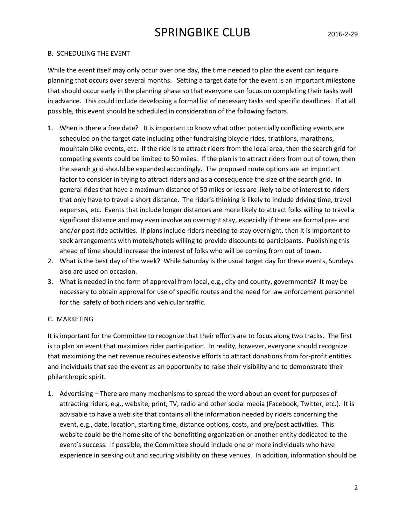### B. SCHEDULING THE EVENT

While the event itself may only occur over one day, the time needed to plan the event can require planning that occurs over several months. Setting a target date for the event is an important milestone that should occur early in the planning phase so that everyone can focus on completing their tasks well in advance. This could include developing a formal list of necessary tasks and specific deadlines. If at all possible, this event should be scheduled in consideration of the following factors.

- 1. When is there a free date? It is important to know what other potentially conflicting events are scheduled on the target date including other fundraising bicycle rides, triathlons, marathons, mountain bike events, etc. If the ride is to attract riders from the local area, then the search grid for competing events could be limited to 50 miles. If the plan is to attract riders from out of town, then the search grid should be expanded accordingly. The proposed route options are an important factor to consider in trying to attract riders and as a consequence the size of the search grid. In general rides that have a maximum distance of 50 miles or less are likely to be of interest to riders that only have to travel a short distance. The rider's thinking is likely to include driving time, travel expenses, etc. Events that include longer distances are more likely to attract folks willing to travel a significant distance and may even involve an overnight stay, especially if there are formal pre- and and/or post ride activities. If plans include riders needing to stay overnight, then it is important to seek arrangements with motels/hotels willing to provide discounts to participants. Publishing this ahead of time should increase the interest of folks who will be coming from out of town.
- 2. What is the best day of the week? While Saturday is the usual target day for these events, Sundays also are used on occasion.
- 3. What is needed in the form of approval from local, e.g., city and county, governments? It may be necessary to obtain approval for use of specific routes and the need for law enforcement personnel for the safety of both riders and vehicular traffic.

### C. MARKETING

It is important for the Committee to recognize that their efforts are to focus along two tracks. The first is to plan an event that maximizes rider participation. In reality, however, everyone should recognize that maximizing the net revenue requires extensive efforts to attract donations from for-profit entities and individuals that see the event as an opportunity to raise their visibility and to demonstrate their philanthropic spirit.

1. Advertising – There are many mechanisms to spread the word about an event for purposes of attracting riders, e.g., website, print, TV, radio and other social media (Facebook, Twitter, etc.). It is advisable to have a web site that contains all the information needed by riders concerning the event, e.g., date, location, starting time, distance options, costs, and pre/post activities. This website could be the home site of the benefitting organization or another entity dedicated to the event's success. If possible, the Committee should include one or more individuals who have experience in seeking out and securing visibility on these venues. In addition, information should be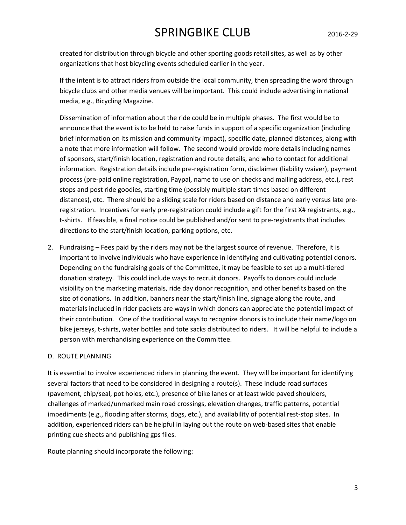created for distribution through bicycle and other sporting goods retail sites, as well as by other organizations that host bicycling events scheduled earlier in the year.

If the intent is to attract riders from outside the local community, then spreading the word through bicycle clubs and other media venues will be important. This could include advertising in national media, e.g., Bicycling Magazine.

Dissemination of information about the ride could be in multiple phases. The first would be to announce that the event is to be held to raise funds in support of a specific organization (including brief information on its mission and community impact), specific date, planned distances, along with a note that more information will follow. The second would provide more details including names of sponsors, start/finish location, registration and route details, and who to contact for additional information. Registration details include pre-registration form, disclaimer (liability waiver), payment process (pre-paid online registration, Paypal, name to use on checks and mailing address, etc.), rest stops and post ride goodies, starting time (possibly multiple start times based on different distances), etc. There should be a sliding scale for riders based on distance and early versus late preregistration. Incentives for early pre-registration could include a gift for the first X# registrants, e.g., t-shirts. If feasible, a final notice could be published and/or sent to pre-registrants that includes directions to the start/finish location, parking options, etc.

2. Fundraising – Fees paid by the riders may not be the largest source of revenue. Therefore, it is important to involve individuals who have experience in identifying and cultivating potential donors. Depending on the fundraising goals of the Committee, it may be feasible to set up a multi-tiered donation strategy. This could include ways to recruit donors. Payoffs to donors could include visibility on the marketing materials, ride day donor recognition, and other benefits based on the size of donations. In addition, banners near the start/finish line, signage along the route, and materials included in rider packets are ways in which donors can appreciate the potential impact of their contribution. One of the traditional ways to recognize donors is to include their name/logo on bike jerseys, t-shirts, water bottles and tote sacks distributed to riders. It will be helpful to include a person with merchandising experience on the Committee.

### D. ROUTE PLANNING

It is essential to involve experienced riders in planning the event. They will be important for identifying several factors that need to be considered in designing a route(s). These include road surfaces (pavement, chip/seal, pot holes, etc.), presence of bike lanes or at least wide paved shoulders, challenges of marked/unmarked main road crossings, elevation changes, traffic patterns, potential impediments (e.g., flooding after storms, dogs, etc.), and availability of potential rest-stop sites. In addition, experienced riders can be helpful in laying out the route on web-based sites that enable printing cue sheets and publishing gps files.

Route planning should incorporate the following: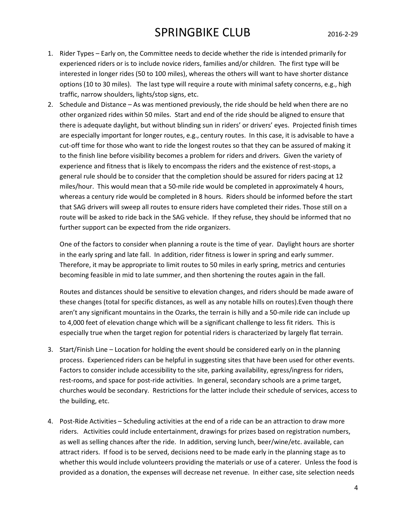- 1. Rider Types Early on, the Committee needs to decide whether the ride is intended primarily for experienced riders or is to include novice riders, families and/or children. The first type will be interested in longer rides (50 to 100 miles), whereas the others will want to have shorter distance options (10 to 30 miles). The last type will require a route with minimal safety concerns, e.g., high traffic, narrow shoulders, lights/stop signs, etc.
- 2. Schedule and Distance As was mentioned previously, the ride should be held when there are no other organized rides within 50 miles. Start and end of the ride should be aligned to ensure that there is adequate daylight, but without blinding sun in riders' or drivers' eyes. Projected finish times are especially important for longer routes, e.g., century routes. In this case, it is advisable to have a cut-off time for those who want to ride the longest routes so that they can be assured of making it to the finish line before visibility becomes a problem for riders and drivers. Given the variety of experience and fitness that is likely to encompass the riders and the existence of rest-stops, a general rule should be to consider that the completion should be assured for riders pacing at 12 miles/hour. This would mean that a 50-mile ride would be completed in approximately 4 hours, whereas a century ride would be completed in 8 hours. Riders should be informed before the start that SAG drivers will sweep all routes to ensure riders have completed their rides. Those still on a route will be asked to ride back in the SAG vehicle. If they refuse, they should be informed that no further support can be expected from the ride organizers.

One of the factors to consider when planning a route is the time of year. Daylight hours are shorter in the early spring and late fall. In addition, rider fitness is lower in spring and early summer. Therefore, it may be appropriate to limit routes to 50 miles in early spring, metrics and centuries becoming feasible in mid to late summer, and then shortening the routes again in the fall.

Routes and distances should be sensitive to elevation changes, and riders should be made aware of these changes (total for specific distances, as well as any notable hills on routes).Even though there aren't any significant mountains in the Ozarks, the terrain is hilly and a 50-mile ride can include up to 4,000 feet of elevation change which will be a significant challenge to less fit riders. This is especially true when the target region for potential riders is characterized by largely flat terrain.

- 3. Start/Finish Line Location for holding the event should be considered early on in the planning process. Experienced riders can be helpful in suggesting sites that have been used for other events. Factors to consider include accessibility to the site, parking availability, egress/ingress for riders, rest-rooms, and space for post-ride activities. In general, secondary schools are a prime target, churches would be secondary. Restrictions for the latter include their schedule of services, access to the building, etc.
- 4. Post-Ride Activities Scheduling activities at the end of a ride can be an attraction to draw more riders. Activities could include entertainment, drawings for prizes based on registration numbers, as well as selling chances after the ride. In addition, serving lunch, beer/wine/etc. available, can attract riders. If food is to be served, decisions need to be made early in the planning stage as to whether this would include volunteers providing the materials or use of a caterer. Unless the food is provided as a donation, the expenses will decrease net revenue. In either case, site selection needs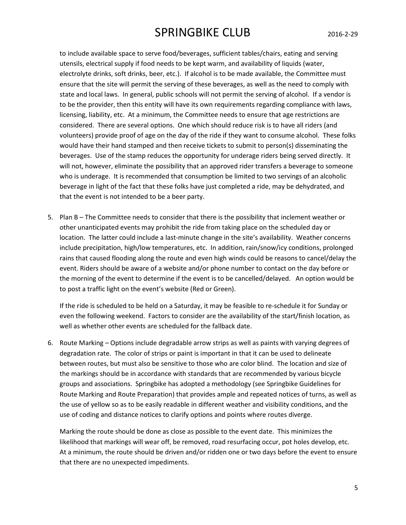to include available space to serve food/beverages, sufficient tables/chairs, eating and serving utensils, electrical supply if food needs to be kept warm, and availability of liquids (water, electrolyte drinks, soft drinks, beer, etc.). If alcohol is to be made available, the Committee must ensure that the site will permit the serving of these beverages, as well as the need to comply with state and local laws. In general, public schools will not permit the serving of alcohol. If a vendor is to be the provider, then this entity will have its own requirements regarding compliance with laws, licensing, liability, etc. At a minimum, the Committee needs to ensure that age restrictions are considered. There are several options. One which should reduce risk is to have all riders (and volunteers) provide proof of age on the day of the ride if they want to consume alcohol. These folks would have their hand stamped and then receive tickets to submit to person(s) disseminating the beverages. Use of the stamp reduces the opportunity for underage riders being served directly. It will not, however, eliminate the possibility that an approved rider transfers a beverage to someone who is underage. It is recommended that consumption be limited to two servings of an alcoholic beverage in light of the fact that these folks have just completed a ride, may be dehydrated, and that the event is not intended to be a beer party.

5. Plan B – The Committee needs to consider that there is the possibility that inclement weather or other unanticipated events may prohibit the ride from taking place on the scheduled day or location. The latter could include a last-minute change in the site's availability. Weather concerns include precipitation, high/low temperatures, etc. In addition, rain/snow/icy conditions, prolonged rains that caused flooding along the route and even high winds could be reasons to cancel/delay the event. Riders should be aware of a website and/or phone number to contact on the day before or the morning of the event to determine if the event is to be cancelled/delayed. An option would be to post a traffic light on the event's website (Red or Green).

If the ride is scheduled to be held on a Saturday, it may be feasible to re-schedule it for Sunday or even the following weekend. Factors to consider are the availability of the start/finish location, as well as whether other events are scheduled for the fallback date.

6. Route Marking – Options include degradable arrow strips as well as paints with varying degrees of degradation rate. The color of strips or paint is important in that it can be used to delineate between routes, but must also be sensitive to those who are color blind. The location and size of the markings should be in accordance with standards that are recommended by various bicycle groups and associations. Springbike has adopted a methodology (see Springbike Guidelines for Route Marking and Route Preparation) that provides ample and repeated notices of turns, as well as the use of yellow so as to be easily readable in different weather and visibility conditions, and the use of coding and distance notices to clarify options and points where routes diverge.

Marking the route should be done as close as possible to the event date. This minimizes the likelihood that markings will wear off, be removed, road resurfacing occur, pot holes develop, etc. At a minimum, the route should be driven and/or ridden one or two days before the event to ensure that there are no unexpected impediments.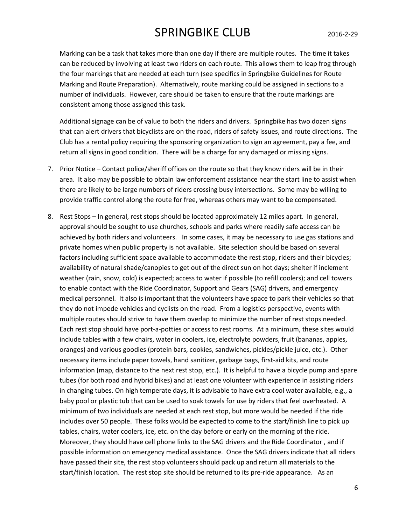Marking can be a task that takes more than one day if there are multiple routes. The time it takes can be reduced by involving at least two riders on each route. This allows them to leap frog through the four markings that are needed at each turn (see specifics in Springbike Guidelines for Route Marking and Route Preparation). Alternatively, route marking could be assigned in sections to a number of individuals. However, care should be taken to ensure that the route markings are consistent among those assigned this task.

Additional signage can be of value to both the riders and drivers. Springbike has two dozen signs that can alert drivers that bicyclists are on the road, riders of safety issues, and route directions. The Club has a rental policy requiring the sponsoring organization to sign an agreement, pay a fee, and return all signs in good condition. There will be a charge for any damaged or missing signs.

- 7. Prior Notice Contact police/sheriff offices on the route so that they know riders will be in their area. It also may be possible to obtain law enforcement assistance near the start line to assist when there are likely to be large numbers of riders crossing busy intersections. Some may be willing to provide traffic control along the route for free, whereas others may want to be compensated.
- 8. Rest Stops In general, rest stops should be located approximately 12 miles apart. In general, approval should be sought to use churches, schools and parks where readily safe access can be achieved by both riders and volunteers. In some cases, it may be necessary to use gas stations and private homes when public property is not available. Site selection should be based on several factors including sufficient space available to accommodate the rest stop, riders and their bicycles; availability of natural shade/canopies to get out of the direct sun on hot days; shelter if inclement weather (rain, snow, cold) is expected; access to water if possible (to refill coolers); and cell towers to enable contact with the Ride Coordinator, Support and Gears (SAG) drivers, and emergency medical personnel. It also is important that the volunteers have space to park their vehicles so that they do not impede vehicles and cyclists on the road. From a logistics perspective, events with multiple routes should strive to have them overlap to minimize the number of rest stops needed. Each rest stop should have port-a-potties or access to rest rooms. At a minimum, these sites would include tables with a few chairs, water in coolers, ice, electrolyte powders, fruit (bananas, apples, oranges) and various goodies (protein bars, cookies, sandwiches, pickles/pickle juice, etc.). Other necessary items include paper towels, hand sanitizer, garbage bags, first-aid kits, and route information (map, distance to the next rest stop, etc.). It is helpful to have a bicycle pump and spare tubes (for both road and hybrid bikes) and at least one volunteer with experience in assisting riders in changing tubes. On high temperate days, it is advisable to have extra cool water available, e.g., a baby pool or plastic tub that can be used to soak towels for use by riders that feel overheated. A minimum of two individuals are needed at each rest stop, but more would be needed if the ride includes over 50 people. These folks would be expected to come to the start/finish line to pick up tables, chairs, water coolers, ice, etc. on the day before or early on the morning of the ride. Moreover, they should have cell phone links to the SAG drivers and the Ride Coordinator , and if possible information on emergency medical assistance. Once the SAG drivers indicate that all riders have passed their site, the rest stop volunteers should pack up and return all materials to the start/finish location. The rest stop site should be returned to its pre-ride appearance. As an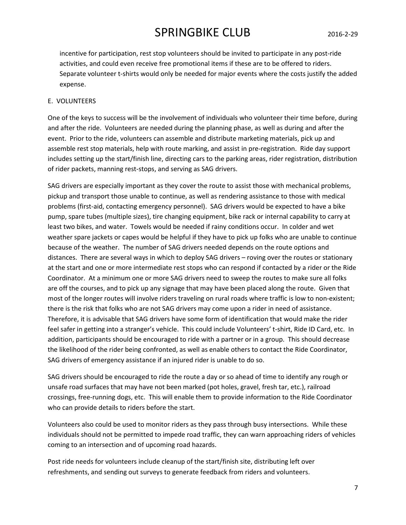incentive for participation, rest stop volunteers should be invited to participate in any post-ride activities, and could even receive free promotional items if these are to be offered to riders. Separate volunteer t-shirts would only be needed for major events where the costs justify the added expense.

#### E. VOLUNTEERS

One of the keys to success will be the involvement of individuals who volunteer their time before, during and after the ride. Volunteers are needed during the planning phase, as well as during and after the event. Prior to the ride, volunteers can assemble and distribute marketing materials, pick up and assemble rest stop materials, help with route marking, and assist in pre-registration. Ride day support includes setting up the start/finish line, directing cars to the parking areas, rider registration, distribution of rider packets, manning rest-stops, and serving as SAG drivers.

SAG drivers are especially important as they cover the route to assist those with mechanical problems, pickup and transport those unable to continue, as well as rendering assistance to those with medical problems (first-aid, contacting emergency personnel). SAG drivers would be expected to have a bike pump, spare tubes (multiple sizes), tire changing equipment, bike rack or internal capability to carry at least two bikes, and water. Towels would be needed if rainy conditions occur. In colder and wet weather spare jackets or capes would be helpful if they have to pick up folks who are unable to continue because of the weather. The number of SAG drivers needed depends on the route options and distances. There are several ways in which to deploy SAG drivers – roving over the routes or stationary at the start and one or more intermediate rest stops who can respond if contacted by a rider or the Ride Coordinator. At a minimum one or more SAG drivers need to sweep the routes to make sure all folks are off the courses, and to pick up any signage that may have been placed along the route. Given that most of the longer routes will involve riders traveling on rural roads where traffic is low to non-existent; there is the risk that folks who are not SAG drivers may come upon a rider in need of assistance. Therefore, it is advisable that SAG drivers have some form of identification that would make the rider feel safer in getting into a stranger's vehicle. This could include Volunteers' t-shirt, Ride ID Card, etc. In addition, participants should be encouraged to ride with a partner or in a group. This should decrease the likelihood of the rider being confronted, as well as enable others to contact the Ride Coordinator, SAG drivers of emergency assistance if an injured rider is unable to do so.

SAG drivers should be encouraged to ride the route a day or so ahead of time to identify any rough or unsafe road surfaces that may have not been marked (pot holes, gravel, fresh tar, etc.), railroad crossings, free-running dogs, etc. This will enable them to provide information to the Ride Coordinator who can provide details to riders before the start.

Volunteers also could be used to monitor riders as they pass through busy intersections. While these individuals should not be permitted to impede road traffic, they can warn approaching riders of vehicles coming to an intersection and of upcoming road hazards.

Post ride needs for volunteers include cleanup of the start/finish site, distributing left over refreshments, and sending out surveys to generate feedback from riders and volunteers.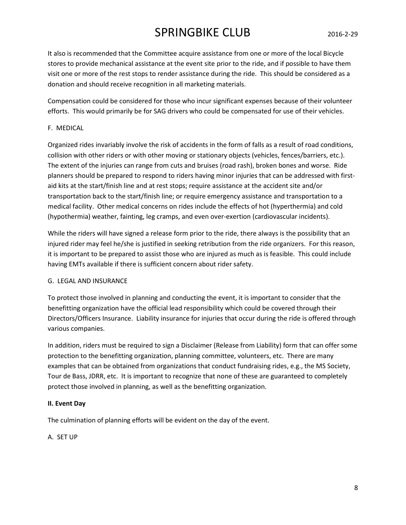It also is recommended that the Committee acquire assistance from one or more of the local Bicycle stores to provide mechanical assistance at the event site prior to the ride, and if possible to have them visit one or more of the rest stops to render assistance during the ride. This should be considered as a donation and should receive recognition in all marketing materials.

Compensation could be considered for those who incur significant expenses because of their volunteer efforts. This would primarily be for SAG drivers who could be compensated for use of their vehicles.

### F. MEDICAL

Organized rides invariably involve the risk of accidents in the form of falls as a result of road conditions, collision with other riders or with other moving or stationary objects (vehicles, fences/barriers, etc.). The extent of the injuries can range from cuts and bruises (road rash), broken bones and worse. Ride planners should be prepared to respond to riders having minor injuries that can be addressed with firstaid kits at the start/finish line and at rest stops; require assistance at the accident site and/or transportation back to the start/finish line; or require emergency assistance and transportation to a medical facility. Other medical concerns on rides include the effects of hot (hyperthermia) and cold (hypothermia) weather, fainting, leg cramps, and even over-exertion (cardiovascular incidents).

While the riders will have signed a release form prior to the ride, there always is the possibility that an injured rider may feel he/she is justified in seeking retribution from the ride organizers. For this reason, it is important to be prepared to assist those who are injured as much as is feasible. This could include having EMTs available if there is sufficient concern about rider safety.

#### G. LEGAL AND INSURANCE

To protect those involved in planning and conducting the event, it is important to consider that the benefitting organization have the official lead responsibility which could be covered through their Directors/Officers Insurance. Liability insurance for injuries that occur during the ride is offered through various companies.

In addition, riders must be required to sign a Disclaimer (Release from Liability) form that can offer some protection to the benefitting organization, planning committee, volunteers, etc. There are many examples that can be obtained from organizations that conduct fundraising rides, e.g., the MS Society, Tour de Bass, JDRR, etc. It is important to recognize that none of these are guaranteed to completely protect those involved in planning, as well as the benefitting organization.

#### II. Event Day

The culmination of planning efforts will be evident on the day of the event.

A. SET UP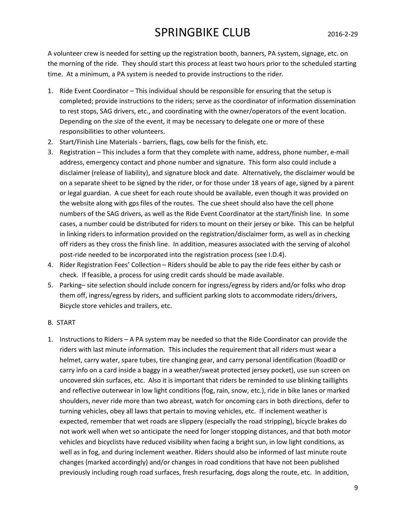A volunteer crew is needed for setting up the registration booth, banners, PA system, signage, etc. on the morning of the ride. They should start this process at least two hours prior to the scheduled starting time. At a minimum, a PA system is needed to provide instructions to the rider.

- 1. Ride Event Coordinator This individual should be responsible for ensuring that the setup is completed; provide instructions to the riders; serve as the coordinator of information dissemination to rest stops, SAG drivers, etc., and coordinating with the owner/operators of the event location. Depending on the size of the event, it may be necessary to delegate one or more of these responsibilities to other volunteers.
- 2. Start/Finish Line Materials barriers, flags, cow bells for the finish, etc.
- 3. Registration This includes a form that they complete with name, address, phone number, e-mail address, emergency contact and phone number and signature. This form also could include a disclaimer (release of liability), and signature block and date. Alternatively, the disclaimer would be on a separate sheet to be signed by the rider, or for those under 18 years of age, signed by a parent or legal guardian. A cue sheet for each route should be available, even though it was provided on the website along with gps files of the routes. The cue sheet should also have the cell phone numbers of the SAG drivers, as well as the Ride Event Coordinator at the start/finish line. In some cases, a number could be distributed for riders to mount on their jersey or bike. This can be helpful in linking riders to information provided on the registration/disclaimer form, as well as in checking off riders as they cross the finish line. In addition, measures associated with the serving of alcohol post-ride needed to be incorporated into the registration process (see I.D.4).
- 4. Rider Registration Fees' Collection Riders should be able to pay the ride fees either by cash or check. If feasible, a process for using credit cards should be made available.
- 5. Parking– site selection should include concern for ingress/egress by riders and/or folks who drop them off, ingress/egress by riders, and sufficient parking slots to accommodate riders/drivers, Bicycle store vehicles and trailers, etc.

### B. START

1. Instructions to Riders – A PA system may be needed so that the Ride Coordinator can provide the riders with last minute information. This includes the requirement that all riders must wear a helmet, carry water, spare tubes, tire changing gear, and carry personal identification (RoadID or carry info on a card inside a baggy in a weather/sweat protected jersey pocket), use sun screen on uncovered skin surfaces, etc. Also it is important that riders be reminded to use blinking taillights and reflective outerwear in low light conditions (fog, rain, snow, etc.), ride in bike lanes or marked shoulders, never ride more than two abreast, watch for oncoming cars in both directions, defer to turning vehicles, obey all laws that pertain to moving vehicles, etc. If inclement weather is expected, remember that wet roads are slippery (especially the road stripping), bicycle brakes do not work well when wet so anticipate the need for longer stopping distances, and that both motor vehicles and bicyclists have reduced visibility when facing a bright sun, in low light conditions, as well as in fog, and during inclement weather. Riders should also be informed of last minute route changes (marked accordingly) and/or changes in road conditions that have not been published previously including rough road surfaces, fresh resurfacing, dogs along the route, etc. In addition,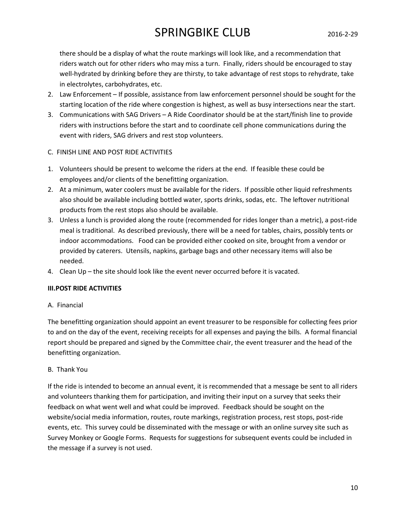there should be a display of what the route markings will look like, and a recommendation that riders watch out for other riders who may miss a turn. Finally, riders should be encouraged to stay well-hydrated by drinking before they are thirsty, to take advantage of rest stops to rehydrate, take in electrolytes, carbohydrates, etc.

- 2. Law Enforcement If possible, assistance from law enforcement personnel should be sought for the starting location of the ride where congestion is highest, as well as busy intersections near the start.
- 3. Communications with SAG Drivers A Ride Coordinator should be at the start/finish line to provide riders with instructions before the start and to coordinate cell phone communications during the event with riders, SAG drivers and rest stop volunteers.
- C. FINISH LINE AND POST RIDE ACTIVITIES
- 1. Volunteers should be present to welcome the riders at the end. If feasible these could be employees and/or clients of the benefitting organization.
- 2. At a minimum, water coolers must be available for the riders. If possible other liquid refreshments also should be available including bottled water, sports drinks, sodas, etc. The leftover nutritional products from the rest stops also should be available.
- 3. Unless a lunch is provided along the route (recommended for rides longer than a metric), a post-ride meal is traditional. As described previously, there will be a need for tables, chairs, possibly tents or indoor accommodations. Food can be provided either cooked on site, brought from a vendor or provided by caterers. Utensils, napkins, garbage bags and other necessary items will also be needed.
- 4. Clean Up the site should look like the event never occurred before it is vacated.

### III.POST RIDE ACTIVITIES

A. Financial

The benefitting organization should appoint an event treasurer to be responsible for collecting fees prior to and on the day of the event, receiving receipts for all expenses and paying the bills. A formal financial report should be prepared and signed by the Committee chair, the event treasurer and the head of the benefitting organization.

### B. Thank You

If the ride is intended to become an annual event, it is recommended that a message be sent to all riders and volunteers thanking them for participation, and inviting their input on a survey that seeks their feedback on what went well and what could be improved. Feedback should be sought on the website/social media information, routes, route markings, registration process, rest stops, post-ride events, etc. This survey could be disseminated with the message or with an online survey site such as Survey Monkey or Google Forms. Requests for suggestions for subsequent events could be included in the message if a survey is not used.